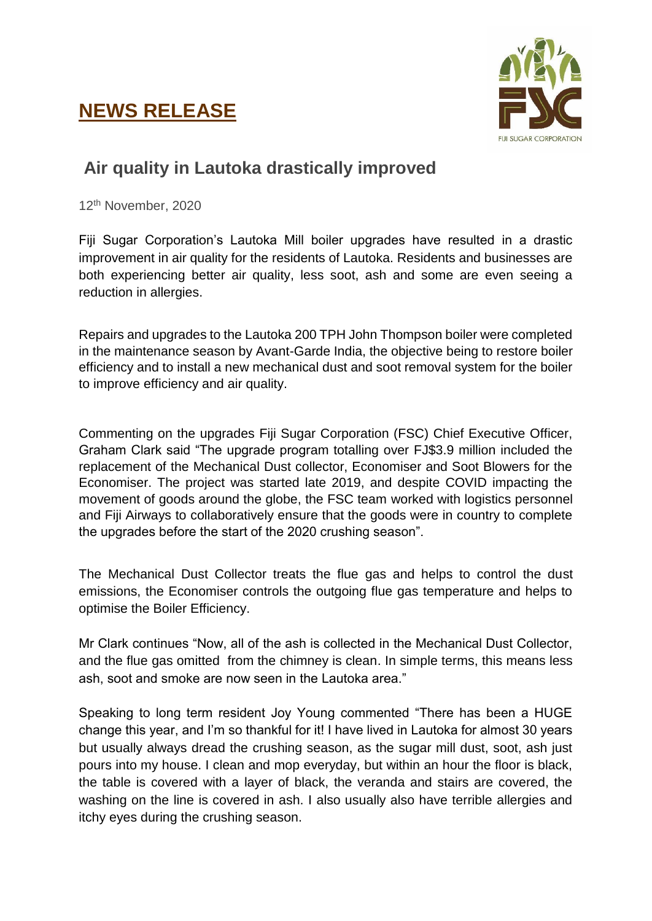## **NEWS RELEASE**



## **Air quality in Lautoka drastically improved**

12th November, 2020

Fiji Sugar Corporation's Lautoka Mill boiler upgrades have resulted in a drastic improvement in air quality for the residents of Lautoka. Residents and businesses are both experiencing better air quality, less soot, ash and some are even seeing a reduction in allergies.

Repairs and upgrades to the Lautoka 200 TPH John Thompson boiler were completed in the maintenance season by Avant-Garde India, the objective being to restore boiler efficiency and to install a new mechanical dust and soot removal system for the boiler to improve efficiency and air quality.

Commenting on the upgrades Fiji Sugar Corporation (FSC) Chief Executive Officer, Graham Clark said "The upgrade program totalling over FJ\$3.9 million included the replacement of the Mechanical Dust collector, Economiser and Soot Blowers for the Economiser. The project was started late 2019, and despite COVID impacting the movement of goods around the globe, the FSC team worked with logistics personnel and Fiji Airways to collaboratively ensure that the goods were in country to complete the upgrades before the start of the 2020 crushing season".

The Mechanical Dust Collector treats the flue gas and helps to control the dust emissions, the Economiser controls the outgoing flue gas temperature and helps to optimise the Boiler Efficiency.

Mr Clark continues "Now, all of the ash is collected in the Mechanical Dust Collector, and the flue gas omitted from the chimney is clean. In simple terms, this means less ash, soot and smoke are now seen in the Lautoka area."

Speaking to long term resident Joy Young commented "There has been a HUGE change this year, and I'm so thankful for it! I have lived in Lautoka for almost 30 years but usually always dread the crushing season, as the sugar mill dust, soot, ash just pours into my house. I clean and mop everyday, but within an hour the floor is black, the table is covered with a layer of black, the veranda and stairs are covered, the washing on the line is covered in ash. I also usually also have terrible allergies and itchy eyes during the crushing season.